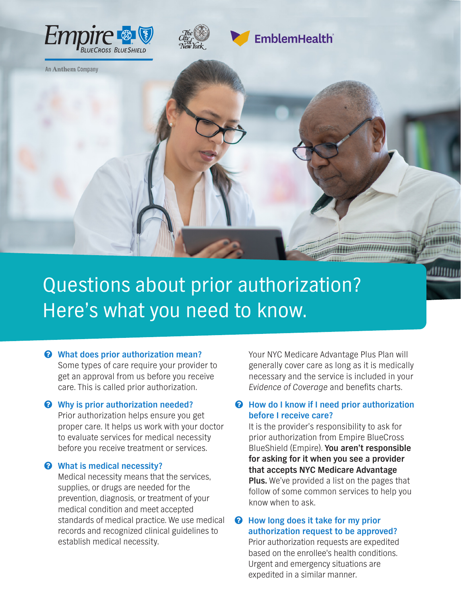



**EmblemHealth** 

An Anthem Company

Questions about prior authorization? Here's what you need to know.

 $\odot$  What does prior authorization mean? Some types of care require your provider to get an approval from us before you receive care. This is called prior authorization.

#### $\odot$  Why is prior authorization needed?

Prior authorization helps ensure you get proper care. It helps us work with your doctor to evaluate services for medical necessity before you receive treatment or services.

#### $\odot$  What is medical necessity?

Medical necessity means that the services, supplies, or drugs are needed for the prevention, diagnosis, or treatment of your medical condition and meet accepted standards of medical practice. We use medical records and recognized clinical guidelines to establish medical necessity.

Your NYC Medicare Advantage Plus Plan will generally cover care as long as it is medically necessary and the service is included in your Evidence of Coverage and benefits charts.

∉⊞⊞⊔⊔

#### $\odot$  How do I know if I need prior authorization **before I receive care?**

It is the provider's responsibility to ask for prior authorization from Empire BlueCross BlueShield (Empire). **You aren't responsible for asking for it when you see a provider that accepts NYC Medicare Advantage Plus.** We've provided a list on the pages that follow of some common services to help you know when to ask.

#### $\odot$  How long does it take for my prior **authorization request to be approved?**

Prior authorization requests are expedited based on the enrollee's health conditions. Urgent and emergency situations are expedited in a similar manner.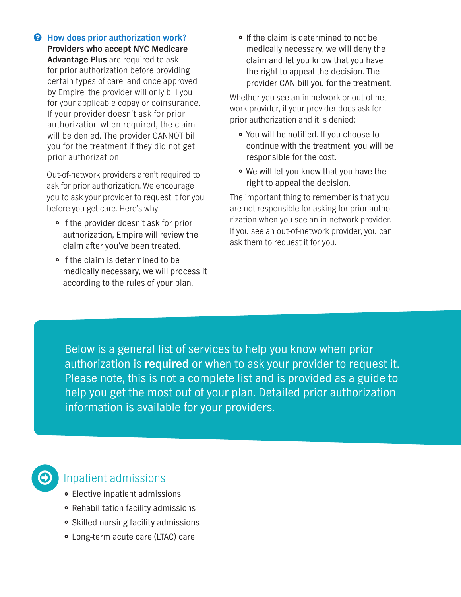$\odot$  How does prior authorization work? **Providers who accept NYC Medicare Advantage Plus** are required to ask for prior authorization before providing certain types of care, and once approved by Empire, the provider will only bill you for your applicable copay or coinsurance. If your provider doesn't ask for prior authorization when required, the claim will be denied. The provider CANNOT bill you for the treatment if they did not get prior authorization.

Out-of-network providers aren't required to ask for prior authorization. We encourage you to ask your provider to request it for you before you get care. Here's why:

- If the provider doesn't ask for prior authorization, Empire will review the claim after you've been treated.
- If the claim is determined to be medically necessary, we will process it according to the rules of your plan.

• If the claim is determined to not be medically necessary, we will deny the claim and let you know that you have the right to appeal the decision. The provider CAN bill you for the treatment.

Whether you see an in-network or out-of-network provider, if your provider does ask for prior authorization and it is denied:

- You will be notified. If you choose to continue with the treatment, you will be responsible for the cost.
- We will let you know that you have the right to appeal the decision.

The important thing to remember is that you are not responsible for asking for prior authorization when you see an in-network provider. If you see an out-of-network provider, you can ask them to request it for you.

Below is a general list of services to help you know when prior authorization is **required** or when to ask your provider to request it. Please note, this is not a complete list and is provided as a guide to help you get the most out of your plan. Detailed prior authorization information is available for your providers.



## Inpatient admissions

- Elective inpatient admissions
- Rehabilitation facility admissions
- Skilled nursing facility admissions
- Long-term acute care (LTAC) care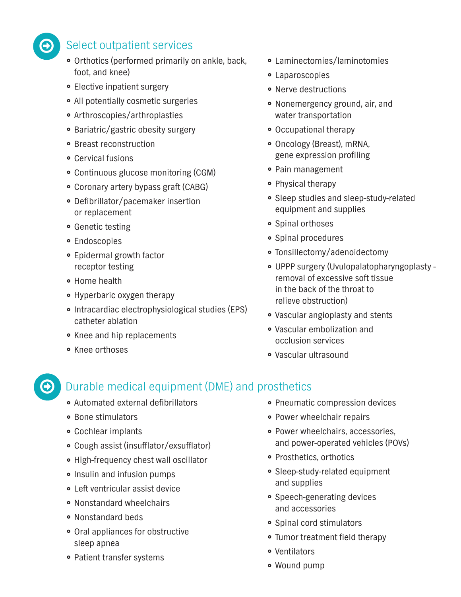

## Select outpatient services

- Orthotics (performed primarily on ankle, back, foot, and knee)
- Elective inpatient surgery
- All potentially cosmetic surgeries
- Arthroscopies/arthroplasties
- Bariatric/gastric obesity surgery
- Breast reconstruction
- Cervical fusions
- Continuous glucose monitoring (CGM)
- Coronary artery bypass graft (CABG)
- Defibrillator/pacemaker insertion or replacement
- Genetic testing
- Endoscopies
- Epidermal growth factor receptor testing
- Home health
- Hyperbaric oxygen therapy
- Intracardiac electrophysiological studies (EPS) catheter ablation
- Knee and hip replacements
- Knee orthoses

 $\bigoplus$ 

- Laminectomies/laminotomies
- Laparoscopies
- Nerve destructions
- Nonemergency ground, air, and water transportation
- Occupational therapy
- Oncology (Breast), mRNA, gene expression profiling
- Pain management
- Physical therapy
- Sleep studies and sleep-study-related equipment and supplies
- Spinal orthoses
- Spinal procedures
- Tonsillectomy/adenoidectomy
- UPPP surgery (Uvulopalatopharyngoplasty removal of excessive soft tissue in the back of the throat to relieve obstruction)
- Vascular angioplasty and stents
- Vascular embolization and occlusion services
- Vascular ultrasound

# Durable medical equipment (DME) and prosthetics

- Automated external defibrillators
- Bone stimulators
- Cochlear implants
- Cough assist (insufflator/exsufflator)
- High-frequency chest wall oscillator
- Insulin and infusion pumps
- Left ventricular assist device
- Nonstandard wheelchairs
- Nonstandard beds
- Oral appliances for obstructive sleep apnea
- Patient transfer systems
- Pneumatic compression devices
- Power wheelchair repairs
- Power wheelchairs, accessories, and power-operated vehicles (POVs)
- Prosthetics, orthotics
- Sleep-study-related equipment and supplies
- Speech-generating devices and accessories
- Spinal cord stimulators
- Tumor treatment field therapy
- Ventilators
- Wound pump